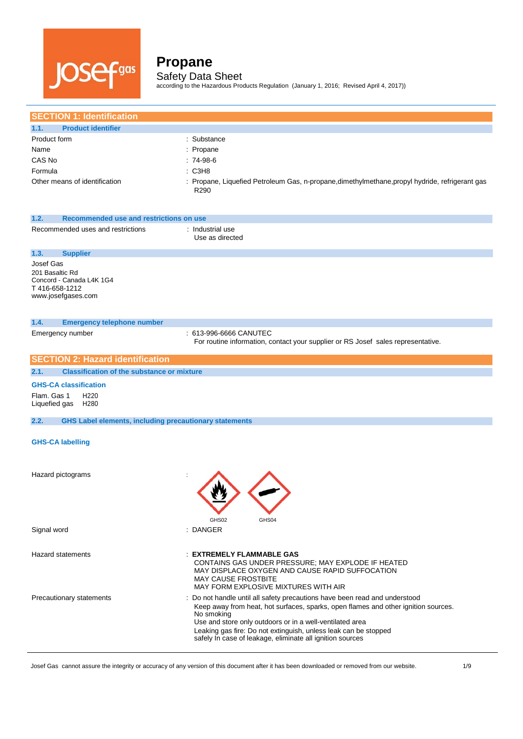

according to the Hazardous Products Regulation (January 1, 2016; Revised April 4, 2017))

| <b>SECTION 1: Identification</b>                                                                |                                                                                                                                                                                                                                                                                                                                                                            |
|-------------------------------------------------------------------------------------------------|----------------------------------------------------------------------------------------------------------------------------------------------------------------------------------------------------------------------------------------------------------------------------------------------------------------------------------------------------------------------------|
| <b>Product identifier</b><br>1.1.                                                               |                                                                                                                                                                                                                                                                                                                                                                            |
| Product form                                                                                    | : Substance                                                                                                                                                                                                                                                                                                                                                                |
| Name                                                                                            | : Propane                                                                                                                                                                                                                                                                                                                                                                  |
| CAS No                                                                                          | : 74-98-6                                                                                                                                                                                                                                                                                                                                                                  |
| Formula                                                                                         | : C3H8                                                                                                                                                                                                                                                                                                                                                                     |
| Other means of identification                                                                   | : Propane, Liquefied Petroleum Gas, n-propane, dimethylmethane, propyl hydride, refrigerant gas                                                                                                                                                                                                                                                                            |
|                                                                                                 | R290                                                                                                                                                                                                                                                                                                                                                                       |
| 1.2.<br>Recommended use and restrictions on use                                                 |                                                                                                                                                                                                                                                                                                                                                                            |
| Recommended uses and restrictions                                                               | : Industrial use<br>Use as directed                                                                                                                                                                                                                                                                                                                                        |
| 1.3.<br><b>Supplier</b>                                                                         |                                                                                                                                                                                                                                                                                                                                                                            |
| Josef Gas<br>201 Basaltic Rd<br>Concord - Canada L4K 1G4<br>T416-658-1212<br>www.josefgases.com |                                                                                                                                                                                                                                                                                                                                                                            |
| 1.4.<br><b>Emergency telephone number</b>                                                       |                                                                                                                                                                                                                                                                                                                                                                            |
| Emergency number                                                                                | : 613-996-6666 CANUTEC<br>For routine information, contact your supplier or RS Josef sales representative.                                                                                                                                                                                                                                                                 |
| <b>SECTION 2: Hazard identification</b>                                                         |                                                                                                                                                                                                                                                                                                                                                                            |
| <b>Classification of the substance or mixture</b><br>2.1.                                       |                                                                                                                                                                                                                                                                                                                                                                            |
| <b>GHS-CA classification</b><br>Flam. Gas 1<br>H <sub>220</sub><br>Liquefied gas<br>H280        |                                                                                                                                                                                                                                                                                                                                                                            |
| 2.2.<br><b>GHS Label elements, including precautionary statements</b>                           |                                                                                                                                                                                                                                                                                                                                                                            |
| <b>GHS-CA labelling</b>                                                                         |                                                                                                                                                                                                                                                                                                                                                                            |
| Hazard pictograms                                                                               |                                                                                                                                                                                                                                                                                                                                                                            |
| Signal word                                                                                     | GHS02<br>GHS04<br>: DANGER                                                                                                                                                                                                                                                                                                                                                 |
| <b>Hazard statements</b>                                                                        | : EXTREMELY FLAMMABLE GAS<br>CONTAINS GAS UNDER PRESSURE; MAY EXPLODE IF HEATED<br>MAY DISPLACE OXYGEN AND CAUSE RAPID SUFFOCATION<br><b>MAY CAUSE FROSTBITE</b><br>MAY FORM EXPLOSIVE MIXTURES WITH AIR                                                                                                                                                                   |
| Precautionary statements                                                                        | : Do not handle until all safety precautions have been read and understood<br>Keep away from heat, hot surfaces, sparks, open flames and other ignition sources.<br>No smoking<br>Use and store only outdoors or in a well-ventilated area<br>Leaking gas fire: Do not extinguish, unless leak can be stopped<br>safely In case of leakage, eliminate all ignition sources |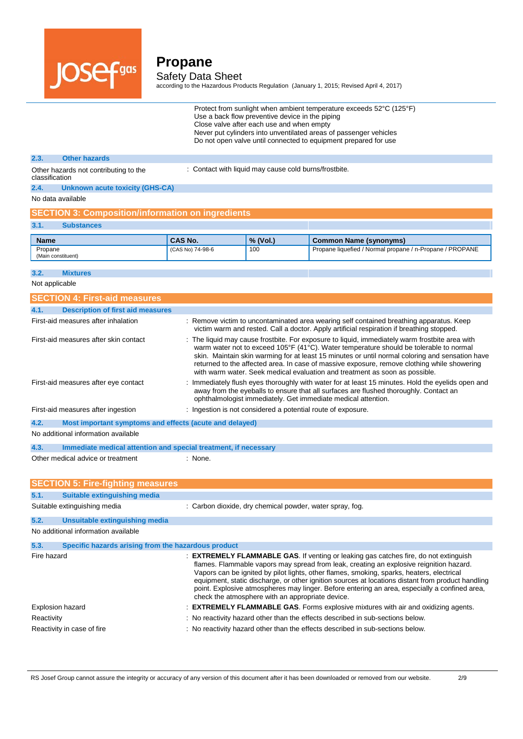

according to the Hazardous Products Regulation (January 1, 2015; Revised April 4, 2017)

| Protect from sunlight when ambient temperature exceeds 52°C (125°F) |
|---------------------------------------------------------------------|
| Use a back flow preventive device in the piping                     |
| Close valve after each use and when empty                           |
| Never put cylinders into unventilated areas of passenger vehicles   |
| Do not open valve until connected to equipment prepared for use     |

#### **2.3. Other hazards**

: Contact with liquid may cause cold burns/frostbite.

Other hazards not contributing to the classification **2.4. Unknown acute toxicity (GHS-CA)**

No data available

### **SECTION 3: Composition/information on ingredients**

#### **3.1. Substances**

| <b>Name</b>                   | <b>CAS No.</b>   | $\%$ (Vol.) | Common Name (synonyms)                                   |
|-------------------------------|------------------|-------------|----------------------------------------------------------|
| Propane<br>(Main constituent) | (CAS No) 74-98-6 | 100         | Propane liquefied / Normal propane / n-Propane / PROPANE |

#### **3.2. Mixtures**

Not applicable

| <b>SECTION 4: First-aid measures</b>                                    |                                                                                                                                                                                                                                                                                                                                                                                                                                                                                                                                               |
|-------------------------------------------------------------------------|-----------------------------------------------------------------------------------------------------------------------------------------------------------------------------------------------------------------------------------------------------------------------------------------------------------------------------------------------------------------------------------------------------------------------------------------------------------------------------------------------------------------------------------------------|
| <b>Description of first aid measures</b><br>4.1.                        |                                                                                                                                                                                                                                                                                                                                                                                                                                                                                                                                               |
| First-aid measures after inhalation                                     | : Remove victim to uncontaminated area wearing self contained breathing apparatus. Keep<br>victim warm and rested. Call a doctor. Apply artificial respiration if breathing stopped.                                                                                                                                                                                                                                                                                                                                                          |
| First-aid measures after skin contact                                   | : The liquid may cause frostbite. For exposure to liquid, immediately warm frostbite area with<br>warm water not to exceed 105°F (41°C). Water temperature should be tolerable to normal<br>skin. Maintain skin warming for at least 15 minutes or until normal coloring and sensation have<br>returned to the affected area. In case of massive exposure, remove clothing while showering<br>with warm water. Seek medical evaluation and treatment as soon as possible.                                                                     |
| First-aid measures after eye contact                                    | : Immediately flush eyes thoroughly with water for at least 15 minutes. Hold the eyelids open and<br>away from the eyeballs to ensure that all surfaces are flushed thoroughly. Contact an<br>ophthalmologist immediately. Get immediate medical attention.                                                                                                                                                                                                                                                                                   |
| First-aid measures after ingestion                                      | : Ingestion is not considered a potential route of exposure.                                                                                                                                                                                                                                                                                                                                                                                                                                                                                  |
| Most important symptoms and effects (acute and delayed)<br>4.2.         |                                                                                                                                                                                                                                                                                                                                                                                                                                                                                                                                               |
| No additional information available                                     |                                                                                                                                                                                                                                                                                                                                                                                                                                                                                                                                               |
| 4.3.<br>Immediate medical attention and special treatment, if necessary |                                                                                                                                                                                                                                                                                                                                                                                                                                                                                                                                               |
| Other medical advice or treatment                                       | : None.                                                                                                                                                                                                                                                                                                                                                                                                                                                                                                                                       |
| <b>SECTION 5: Fire-fighting measures</b>                                |                                                                                                                                                                                                                                                                                                                                                                                                                                                                                                                                               |
| Suitable extinguishing media<br>5.1.                                    |                                                                                                                                                                                                                                                                                                                                                                                                                                                                                                                                               |
| Suitable extinguishing media                                            | : Carbon dioxide, dry chemical powder, water spray, fog.                                                                                                                                                                                                                                                                                                                                                                                                                                                                                      |
| 5.2.<br><b>Unsuitable extinguishing media</b>                           |                                                                                                                                                                                                                                                                                                                                                                                                                                                                                                                                               |
| No additional information available                                     |                                                                                                                                                                                                                                                                                                                                                                                                                                                                                                                                               |
| 5.3.<br>Specific hazards arising from the hazardous product             |                                                                                                                                                                                                                                                                                                                                                                                                                                                                                                                                               |
| Fire hazard                                                             | : <b>EXTREMELY FLAMMABLE GAS.</b> If venting or leaking gas catches fire, do not extinguish<br>flames. Flammable vapors may spread from leak, creating an explosive reignition hazard.<br>Vapors can be ignited by pilot lights, other flames, smoking, sparks, heaters, electrical<br>equipment, static discharge, or other ignition sources at locations distant from product handling<br>point. Explosive atmospheres may linger. Before entering an area, especially a confined area,<br>check the atmosphere with an appropriate device. |
| <b>Explosion hazard</b>                                                 | : <b>EXTREMELY FLAMMABLE GAS.</b> Forms explosive mixtures with air and oxidizing agents.                                                                                                                                                                                                                                                                                                                                                                                                                                                     |
| Reactivity                                                              | : No reactivity hazard other than the effects described in sub-sections below.                                                                                                                                                                                                                                                                                                                                                                                                                                                                |
| Reactivity in case of fire                                              | : No reactivity hazard other than the effects described in sub-sections below.                                                                                                                                                                                                                                                                                                                                                                                                                                                                |

RS Josef Group cannot assure the integrity or accuracy of any version of this document after it has been downloaded or removed from our website. 2/9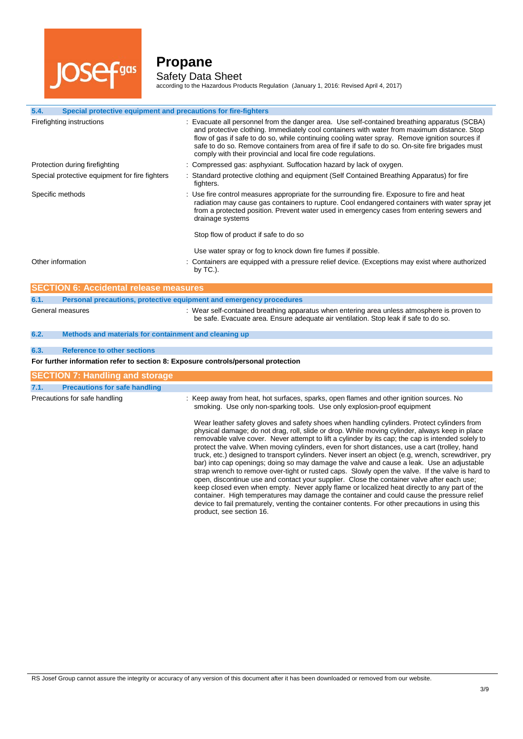

 $\overline{a}$ 

# **Propane**

Safety Data Sheet according to the Hazardous Products Regulation (January 1, 2016: Revised April 4, 2017)

| 5.4.<br>Special protective equipment and precautions for fire-fighters            |                                                                                                                                                                                                                                                                                                                                                                                                                                                                                                                                                                                                                                                                                                                                                                                                                                                                                                                                                                                                                                                                                                                                       |
|-----------------------------------------------------------------------------------|---------------------------------------------------------------------------------------------------------------------------------------------------------------------------------------------------------------------------------------------------------------------------------------------------------------------------------------------------------------------------------------------------------------------------------------------------------------------------------------------------------------------------------------------------------------------------------------------------------------------------------------------------------------------------------------------------------------------------------------------------------------------------------------------------------------------------------------------------------------------------------------------------------------------------------------------------------------------------------------------------------------------------------------------------------------------------------------------------------------------------------------|
| Firefighting instructions                                                         | : Evacuate all personnel from the danger area. Use self-contained breathing apparatus (SCBA)<br>and protective clothing. Immediately cool containers with water from maximum distance. Stop<br>flow of gas if safe to do so, while continuing cooling water spray. Remove ignition sources if<br>safe to do so. Remove containers from area of fire if safe to do so. On-site fire brigades must<br>comply with their provincial and local fire code regulations.                                                                                                                                                                                                                                                                                                                                                                                                                                                                                                                                                                                                                                                                     |
| Protection during firefighting                                                    | : Compressed gas: asphyxiant. Suffocation hazard by lack of oxygen.                                                                                                                                                                                                                                                                                                                                                                                                                                                                                                                                                                                                                                                                                                                                                                                                                                                                                                                                                                                                                                                                   |
| Special protective equipment for fire fighters                                    | : Standard protective clothing and equipment (Self Contained Breathing Apparatus) for fire<br>fighters.                                                                                                                                                                                                                                                                                                                                                                                                                                                                                                                                                                                                                                                                                                                                                                                                                                                                                                                                                                                                                               |
| Specific methods                                                                  | : Use fire control measures appropriate for the surrounding fire. Exposure to fire and heat<br>radiation may cause gas containers to rupture. Cool endangered containers with water spray jet<br>from a protected position. Prevent water used in emergency cases from entering sewers and<br>drainage systems                                                                                                                                                                                                                                                                                                                                                                                                                                                                                                                                                                                                                                                                                                                                                                                                                        |
|                                                                                   | Stop flow of product if safe to do so                                                                                                                                                                                                                                                                                                                                                                                                                                                                                                                                                                                                                                                                                                                                                                                                                                                                                                                                                                                                                                                                                                 |
|                                                                                   | Use water spray or fog to knock down fire fumes if possible.                                                                                                                                                                                                                                                                                                                                                                                                                                                                                                                                                                                                                                                                                                                                                                                                                                                                                                                                                                                                                                                                          |
| Other information                                                                 | Containers are equipped with a pressure relief device. (Exceptions may exist where authorized<br>by $TC.$ ).                                                                                                                                                                                                                                                                                                                                                                                                                                                                                                                                                                                                                                                                                                                                                                                                                                                                                                                                                                                                                          |
| <b>SECTION 6: Accidental release measures</b>                                     |                                                                                                                                                                                                                                                                                                                                                                                                                                                                                                                                                                                                                                                                                                                                                                                                                                                                                                                                                                                                                                                                                                                                       |
| 6.1.                                                                              | Personal precautions, protective equipment and emergency procedures                                                                                                                                                                                                                                                                                                                                                                                                                                                                                                                                                                                                                                                                                                                                                                                                                                                                                                                                                                                                                                                                   |
| General measures                                                                  | : Wear self-contained breathing apparatus when entering area unless atmosphere is proven to<br>be safe. Evacuate area. Ensure adequate air ventilation. Stop leak if safe to do so.                                                                                                                                                                                                                                                                                                                                                                                                                                                                                                                                                                                                                                                                                                                                                                                                                                                                                                                                                   |
| 6.2.<br>Methods and materials for containment and cleaning up                     |                                                                                                                                                                                                                                                                                                                                                                                                                                                                                                                                                                                                                                                                                                                                                                                                                                                                                                                                                                                                                                                                                                                                       |
| <b>Reference to other sections</b><br>6.3.                                        |                                                                                                                                                                                                                                                                                                                                                                                                                                                                                                                                                                                                                                                                                                                                                                                                                                                                                                                                                                                                                                                                                                                                       |
| For further information refer to section 8: Exposure controls/personal protection |                                                                                                                                                                                                                                                                                                                                                                                                                                                                                                                                                                                                                                                                                                                                                                                                                                                                                                                                                                                                                                                                                                                                       |
|                                                                                   |                                                                                                                                                                                                                                                                                                                                                                                                                                                                                                                                                                                                                                                                                                                                                                                                                                                                                                                                                                                                                                                                                                                                       |
| <b>SECTION 7: Handling and storage</b>                                            |                                                                                                                                                                                                                                                                                                                                                                                                                                                                                                                                                                                                                                                                                                                                                                                                                                                                                                                                                                                                                                                                                                                                       |
| 7.1.<br><b>Precautions for safe handling</b>                                      |                                                                                                                                                                                                                                                                                                                                                                                                                                                                                                                                                                                                                                                                                                                                                                                                                                                                                                                                                                                                                                                                                                                                       |
| Precautions for safe handling                                                     | : Keep away from heat, hot surfaces, sparks, open flames and other ignition sources. No<br>smoking. Use only non-sparking tools. Use only explosion-proof equipment                                                                                                                                                                                                                                                                                                                                                                                                                                                                                                                                                                                                                                                                                                                                                                                                                                                                                                                                                                   |
|                                                                                   | Wear leather safety gloves and safety shoes when handling cylinders. Protect cylinders from<br>physical damage; do not drag, roll, slide or drop. While moving cylinder, always keep in place<br>removable valve cover. Never attempt to lift a cylinder by its cap; the cap is intended solely to<br>protect the valve. When moving cylinders, even for short distances, use a cart (trolley, hand<br>truck, etc.) designed to transport cylinders. Never insert an object (e.g, wrench, screwdriver, pry<br>bar) into cap openings; doing so may damage the valve and cause a leak. Use an adjustable<br>strap wrench to remove over-tight or rusted caps. Slowly open the valve. If the valve is hard to<br>open, discontinue use and contact your supplier. Close the container valve after each use;<br>keep closed even when empty. Never apply flame or localized heat directly to any part of the<br>container. High temperatures may damage the container and could cause the pressure relief<br>device to fail prematurely, venting the container contents. For other precautions in using this<br>product, see section 16. |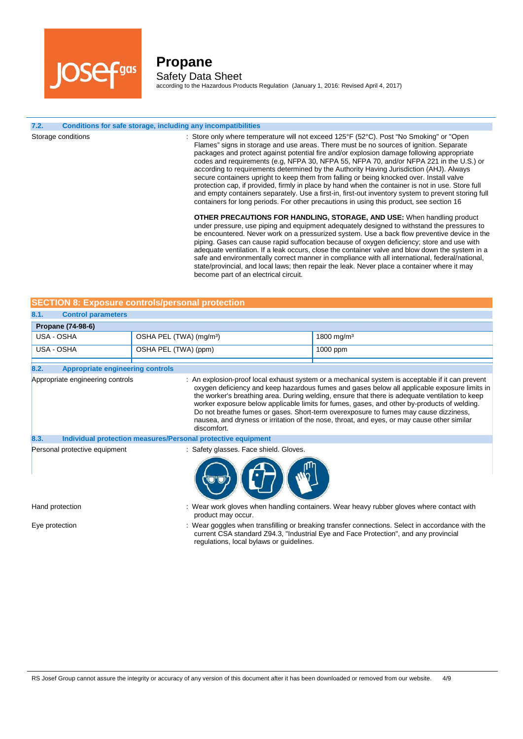

according to the Hazardous Products Regulation (January 1, 2016: Revised April 4, 2017)

#### **7.2. Conditions for safe storage, including any incompatibilities**

Storage conditions **included in the Conduct only state only where temperature will not exceed 125°F (52°C). Post "No Smoking" or "Open** Flames" signs in storage and use areas. There must be no sources of ignition. Separate packages and protect against potential fire and/or explosion damage following appropriate codes and requirements (e.g, NFPA 30, NFPA 55, NFPA 70, and/or NFPA 221 in the U.S.) or according to requirements determined by the Authority Having Jurisdiction (AHJ). Always secure containers upright to keep them from falling or being knocked over. Install valve protection cap, if provided, firmly in place by hand when the container is not in use. Store full and empty containers separately. Use a first-in, first-out inventory system to prevent storing full containers for long periods. For other precautions in using this product, see section 16 **OTHER PRECAUTIONS FOR HANDLING, STORAGE, AND USE:** When handling product under pressure, use piping and equipment adequately designed to withstand the pressures to be encountered. Never work on a pressurized system. Use a back flow preventive device in the piping. Gases can cause rapid suffocation because of oxygen deficiency; store and use with adequate ventilation. If a leak occurs, close the container valve and blow down the system in a safe and environmentally correct manner in compliance with all international, federal/national,

|                                                  |  |  | <b>SECTION 8: Exposure controls/personal protection</b> |
|--------------------------------------------------|--|--|---------------------------------------------------------|
|                                                  |  |  |                                                         |
| $\sim$ $\sim$ $\sim$ $\sim$ $\sim$ $\sim$ $\sim$ |  |  |                                                         |

| 8.1.<br><b>Control parameters</b> |                                     |                        |
|-----------------------------------|-------------------------------------|------------------------|
| <b>Propane (74-98-6)</b>          |                                     |                        |
| USA - OSHA                        | OSHA PEL (TWA) (mg/m <sup>3</sup> ) | 1800 mg/m <sup>3</sup> |
| USA - OSHA                        | OSHA PEL (TWA) (ppm)                | $1000$ ppm             |

become part of an electrical circuit.

| 8.2.<br><b>Appropriate engineering controls</b>                      |                                                                                                                                                                                                                                                                                                                                                                                                                                                                                                                                                                                                         |
|----------------------------------------------------------------------|---------------------------------------------------------------------------------------------------------------------------------------------------------------------------------------------------------------------------------------------------------------------------------------------------------------------------------------------------------------------------------------------------------------------------------------------------------------------------------------------------------------------------------------------------------------------------------------------------------|
| Appropriate engineering controls                                     | : An explosion-proof local exhaust system or a mechanical system is acceptable if it can prevent<br>oxygen deficiency and keep hazardous fumes and gases below all applicable exposure limits in<br>the worker's breathing area. During welding, ensure that there is adequate ventilation to keep<br>worker exposure below applicable limits for fumes, gases, and other by-products of welding.<br>Do not breathe fumes or gases. Short-term overexposure to fumes may cause dizziness,<br>nausea, and dryness or irritation of the nose, throat, and eyes, or may cause other similar<br>discomfort. |
| Individual protection measures/Personal protective equipment<br>8.3. |                                                                                                                                                                                                                                                                                                                                                                                                                                                                                                                                                                                                         |
| Personal protective equipment                                        | : Safety glasses. Face shield. Gloves.                                                                                                                                                                                                                                                                                                                                                                                                                                                                                                                                                                  |

Hand protection : Wear work gloves when handling containers. Wear heavy rubber gloves where contact with product may occur.

state/provincial, and local laws; then repair the leak. Never place a container where it may

Eye protection state of the state of the state of the state of the state of the state with the state of the state with the state with the state with the state with the state with the state with the state with the state wit current CSA standard Z94.3, "Industrial Eye and Face Protection", and any provincial regulations, local bylaws or guidelines.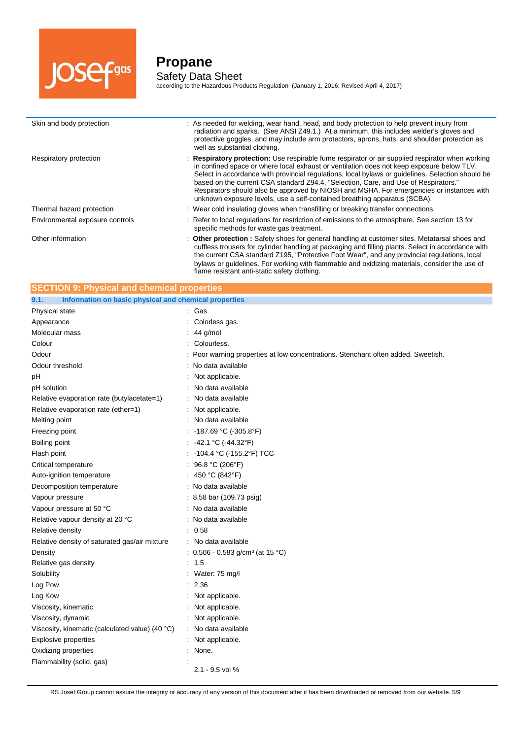

j.

## **Propane** Safety Data Sheet

according to the Hazardous Products Regulation (January 1, 2016; Revised April 4, 2017)

| Skin and body protection        | : As needed for welding, wear hand, head, and body protection to help prevent injury from<br>radiation and sparks. (See ANSI Z49.1.) At a minimum, this includes welder's gloves and<br>protective goggles, and may include arm protectors, aprons, hats, and shoulder protection as<br>well as substantial clothing.                                                                                                                                                                                                                                              |
|---------------------------------|--------------------------------------------------------------------------------------------------------------------------------------------------------------------------------------------------------------------------------------------------------------------------------------------------------------------------------------------------------------------------------------------------------------------------------------------------------------------------------------------------------------------------------------------------------------------|
| Respiratory protection          | : Respiratory protection: Use respirable fume respirator or air supplied respirator when working<br>in confined space or where local exhaust or ventilation does not keep exposure below TLV.<br>Select in accordance with provincial regulations, local bylaws or guidelines. Selection should be<br>based on the current CSA standard Z94.4, "Selection, Care, and Use of Respirators."<br>Respirators should also be approved by NIOSH and MSHA. For emergencies or instances with<br>unknown exposure levels, use a self-contained breathing apparatus (SCBA). |
| Thermal hazard protection       | : Wear cold insulating gloves when transfilling or breaking transfer connections.                                                                                                                                                                                                                                                                                                                                                                                                                                                                                  |
| Environmental exposure controls | : Refer to local regulations for restriction of emissions to the atmosphere. See section 13 for<br>specific methods for waste gas treatment.                                                                                                                                                                                                                                                                                                                                                                                                                       |
| Other information               | : Other protection : Safety shoes for general handling at customer sites. Metatarsal shoes and<br>cuffless trousers for cylinder handling at packaging and filling plants. Select in accordance with<br>the current CSA standard Z195, "Protective Foot Wear", and any provincial regulations, local<br>bylaws or guidelines. For working with flammable and oxidizing materials, consider the use of                                                                                                                                                              |

flame resistant anti-static safety clothing.

| <b>SECTION 9: Physical and chemical properties</b>            |                                                                                 |  |  |
|---------------------------------------------------------------|---------------------------------------------------------------------------------|--|--|
| Information on basic physical and chemical properties<br>9.1. |                                                                                 |  |  |
| Physical state                                                | : Gas                                                                           |  |  |
| Appearance                                                    | Colorless gas.                                                                  |  |  |
| Molecular mass                                                | 44 g/mol                                                                        |  |  |
| Colour                                                        | Colourless.                                                                     |  |  |
| Odour                                                         | Poor warning properties at low concentrations. Stenchant often added. Sweetish. |  |  |
| Odour threshold                                               | : No data available                                                             |  |  |
| pH                                                            | Not applicable.                                                                 |  |  |
| pH solution                                                   | No data available                                                               |  |  |
| Relative evaporation rate (butylacetate=1)                    | No data available                                                               |  |  |
| Relative evaporation rate (ether=1)                           | Not applicable.                                                                 |  |  |
| Melting point                                                 | No data available                                                               |  |  |
| Freezing point                                                | -187.69 °C (-305.8°F)                                                           |  |  |
| Boiling point                                                 | -42.1 °C (-44.32°F)                                                             |  |  |
| Flash point                                                   | -104.4 °C (-155.2°F) TCC                                                        |  |  |
| Critical temperature                                          | 96.8 °C (206°F)                                                                 |  |  |
| Auto-ignition temperature                                     | 450 °C (842°F)                                                                  |  |  |
| Decomposition temperature                                     | : No data available                                                             |  |  |
| Vapour pressure                                               | 8.58 bar (109.73 psig)                                                          |  |  |
| Vapour pressure at 50 °C                                      | No data available                                                               |  |  |
| Relative vapour density at 20 °C                              | No data available                                                               |  |  |
| Relative density                                              | 0.58                                                                            |  |  |
| Relative density of saturated gas/air mixture                 | No data available                                                               |  |  |
| Density                                                       | : $0.506 - 0.583$ g/cm <sup>3</sup> (at 15 °C)                                  |  |  |
| Relative gas density                                          | 1.5                                                                             |  |  |
| Solubility                                                    | Water: 75 mg/l                                                                  |  |  |
| Log Pow                                                       | 2.36                                                                            |  |  |
| Log Kow                                                       | Not applicable.                                                                 |  |  |
| Viscosity, kinematic                                          | Not applicable.                                                                 |  |  |
| Viscosity, dynamic                                            | Not applicable.                                                                 |  |  |
| Viscosity, kinematic (calculated value) (40 °C)               | No data available                                                               |  |  |
| <b>Explosive properties</b>                                   | Not applicable.                                                                 |  |  |
| Oxidizing properties                                          | None.                                                                           |  |  |
| Flammability (solid, gas)                                     | 2.1 - 9.5 vol %                                                                 |  |  |

RS Josef Group cannot assure the integrity or accuracy of any version of this document after it has been downloaded or removed from our website. 5/9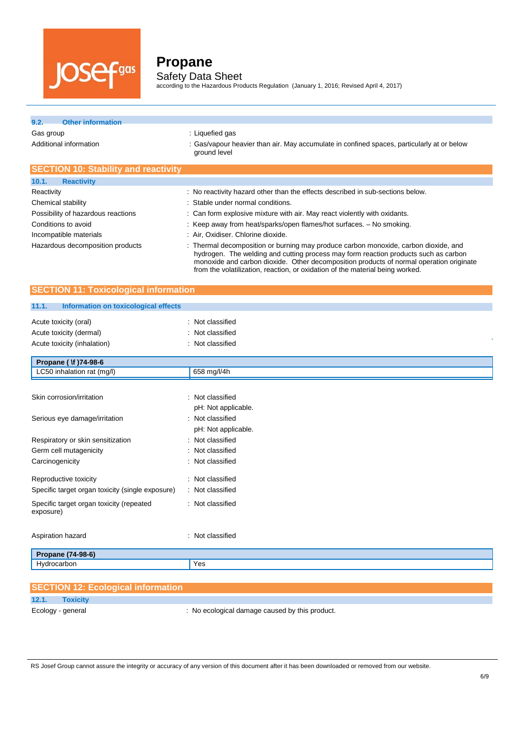

according to the Hazardous Products Regulation (January 1, 2016; Revised April 4, 2017)

### **9.2. Other information**

Gas group **EXECUTE:** Liquefied gas

Additional information **incomation** : Gas/vapour heavier than air. May accumulate in confined spaces, particularly at or below ground level

| <b>SECTION 10: Stability and reactivity</b> |                                                                                                                                                                                                                                                                                                                                                        |
|---------------------------------------------|--------------------------------------------------------------------------------------------------------------------------------------------------------------------------------------------------------------------------------------------------------------------------------------------------------------------------------------------------------|
| 10.1.<br><b>Reactivity</b>                  |                                                                                                                                                                                                                                                                                                                                                        |
| Reactivity                                  | : No reactivity hazard other than the effects described in sub-sections below.                                                                                                                                                                                                                                                                         |
| Chemical stability                          | : Stable under normal conditions.                                                                                                                                                                                                                                                                                                                      |
| Possibility of hazardous reactions          | : Can form explosive mixture with air. May react violently with oxidants.                                                                                                                                                                                                                                                                              |
| Conditions to avoid                         | : Keep away from heat/sparks/open flames/hot surfaces. - No smoking.                                                                                                                                                                                                                                                                                   |
| Incompatible materials                      | : Air, Oxidiser. Chlorine dioxide.                                                                                                                                                                                                                                                                                                                     |
| Hazardous decomposition products            | : Thermal decomposition or burning may produce carbon monoxide, carbon dioxide, and<br>hydrogen. The welding and cutting process may form reaction products such as carbon<br>monoxide and carbon dioxide. Other decomposition products of normal operation originate<br>from the volatilization, reaction, or oxidation of the material being worked. |

#### **SECTION 11: Toxicological information**

#### **11.1. Information on toxicological effects**

| : Not classified<br>: Not classified<br>: Not classified |
|----------------------------------------------------------|
|                                                          |
| 658 mg/l/4h                                              |
| : Not classified<br>pH: Not applicable.                  |
| : Not classified<br>pH: Not applicable.                  |
| : Not classified                                         |
| : Not classified                                         |
| : Not classified                                         |
| : Not classified<br>: Not classified                     |
| : Not classified                                         |
| : Not classified                                         |
|                                                          |
| Yes                                                      |
|                                                          |

|                   | <b>SECTION 12: Ecological information</b> |                                              |
|-------------------|-------------------------------------------|----------------------------------------------|
| 12.1.             | <b>Toxicity</b>                           |                                              |
| Ecology - general |                                           | No ecological damage caused by this product. |

RS Josef Group cannot assure the integrity or accuracy of any version of this document after it has been downloaded or removed from our website.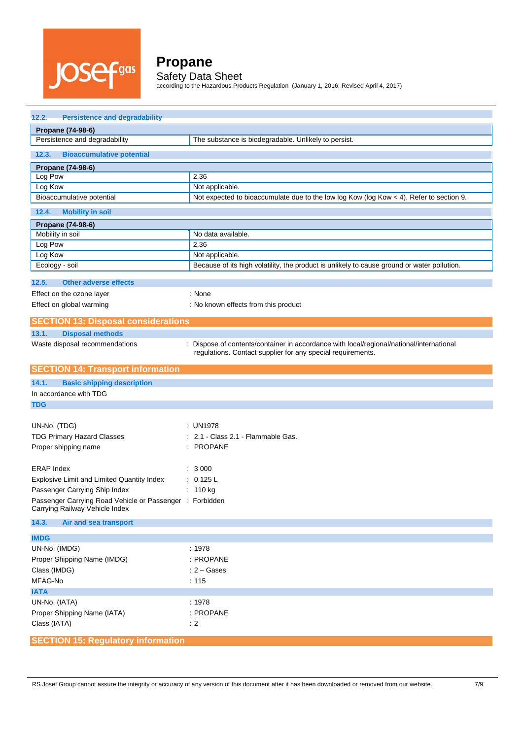

according to the Hazardous Products Regulation (January 1, 2016; Revised April 4, 2017)

| 12.2.<br><b>Persistence and degradability</b>                                              |                                                                                                                                                         |  |  |  |  |
|--------------------------------------------------------------------------------------------|---------------------------------------------------------------------------------------------------------------------------------------------------------|--|--|--|--|
| Propane (74-98-6)                                                                          |                                                                                                                                                         |  |  |  |  |
| Persistence and degradability                                                              | The substance is biodegradable. Unlikely to persist.                                                                                                    |  |  |  |  |
| <b>Bioaccumulative potential</b><br>12.3.                                                  |                                                                                                                                                         |  |  |  |  |
| Propane (74-98-6)                                                                          |                                                                                                                                                         |  |  |  |  |
| Log Pow                                                                                    | 2.36                                                                                                                                                    |  |  |  |  |
| Log Kow                                                                                    | Not applicable.                                                                                                                                         |  |  |  |  |
| Bioaccumulative potential                                                                  | Not expected to bioaccumulate due to the low log Kow (log Kow < 4). Refer to section 9.                                                                 |  |  |  |  |
| 12.4.<br><b>Mobility in soil</b>                                                           |                                                                                                                                                         |  |  |  |  |
| Propane (74-98-6)                                                                          |                                                                                                                                                         |  |  |  |  |
| Mobility in soil                                                                           | No data available.                                                                                                                                      |  |  |  |  |
| Log Pow                                                                                    | 2.36                                                                                                                                                    |  |  |  |  |
| Log Kow                                                                                    | Not applicable.                                                                                                                                         |  |  |  |  |
| Ecology - soil                                                                             | Because of its high volatility, the product is unlikely to cause ground or water pollution.                                                             |  |  |  |  |
| 12.5.<br><b>Other adverse effects</b>                                                      |                                                                                                                                                         |  |  |  |  |
| Effect on the ozone layer                                                                  | : None                                                                                                                                                  |  |  |  |  |
| Effect on global warming                                                                   | : No known effects from this product                                                                                                                    |  |  |  |  |
| <b>SECTION 13: Disposal considerations</b>                                                 |                                                                                                                                                         |  |  |  |  |
| 13.1.<br><b>Disposal methods</b>                                                           |                                                                                                                                                         |  |  |  |  |
| Waste disposal recommendations                                                             | : Dispose of contents/container in accordance with local/regional/national/international<br>regulations. Contact supplier for any special requirements. |  |  |  |  |
| <b>SECTION 14: Transport information</b>                                                   |                                                                                                                                                         |  |  |  |  |
| 14.1.<br><b>Basic shipping description</b>                                                 |                                                                                                                                                         |  |  |  |  |
| In accordance with TDG                                                                     |                                                                                                                                                         |  |  |  |  |
| <b>TDG</b>                                                                                 |                                                                                                                                                         |  |  |  |  |
|                                                                                            |                                                                                                                                                         |  |  |  |  |
| UN-No. (TDG)                                                                               | : UN1978                                                                                                                                                |  |  |  |  |
| <b>TDG Primary Hazard Classes</b>                                                          | : 2.1 - Class 2.1 - Flammable Gas.                                                                                                                      |  |  |  |  |
| Proper shipping name                                                                       | : PROPANE                                                                                                                                               |  |  |  |  |
|                                                                                            |                                                                                                                                                         |  |  |  |  |
| <b>ERAP Index</b><br>Explosive Limit and Limited Quantity Index                            | : 3000                                                                                                                                                  |  |  |  |  |
|                                                                                            |                                                                                                                                                         |  |  |  |  |
|                                                                                            | : 0.125 L                                                                                                                                               |  |  |  |  |
| Passenger Carrying Ship Index                                                              | : $110 kg$                                                                                                                                              |  |  |  |  |
| Passenger Carrying Road Vehicle or Passenger : Forbidden<br>Carrying Railway Vehicle Index |                                                                                                                                                         |  |  |  |  |
| 14.3.<br>Air and sea transport                                                             |                                                                                                                                                         |  |  |  |  |
| <b>IMDG</b>                                                                                |                                                                                                                                                         |  |  |  |  |
| UN-No. (IMDG)                                                                              | : 1978                                                                                                                                                  |  |  |  |  |
| Proper Shipping Name (IMDG)                                                                | : PROPANE                                                                                                                                               |  |  |  |  |
| Class (IMDG)                                                                               | $: 2 - \text{Gases}$                                                                                                                                    |  |  |  |  |
| MFAG-No                                                                                    | : 115                                                                                                                                                   |  |  |  |  |
| <b>IATA</b>                                                                                |                                                                                                                                                         |  |  |  |  |
| UN-No. (IATA)                                                                              | : 1978                                                                                                                                                  |  |  |  |  |
| Proper Shipping Name (IATA)                                                                | : PROPANE                                                                                                                                               |  |  |  |  |
| Class (IATA)                                                                               | $\div$ 2                                                                                                                                                |  |  |  |  |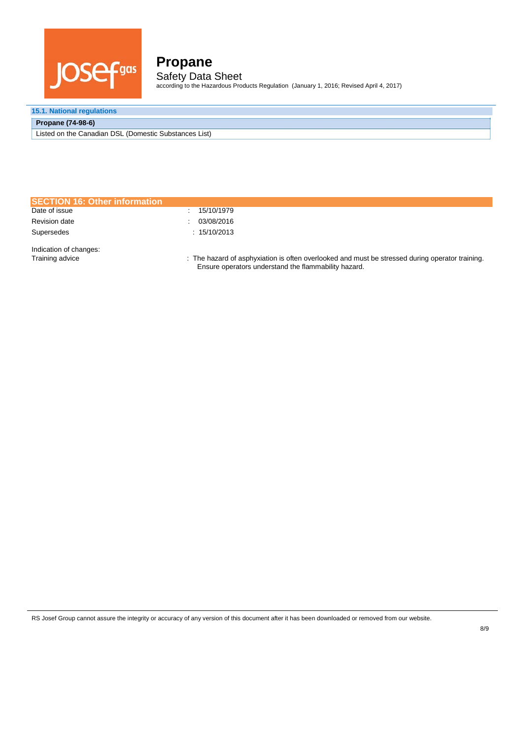

according to the Hazardous Products Regulation (January 1, 2016; Revised April 4, 2017)

### **15.1. National regulations**

#### **Propane (74-98-6)**

Listed on the Canadian DSL (Domestic Substances List)

| <b>SECTION 16: Other information</b>      |                                                                                                                                                         |
|-------------------------------------------|---------------------------------------------------------------------------------------------------------------------------------------------------------|
| Date of issue                             | 15/10/1979                                                                                                                                              |
| <b>Revision date</b>                      | 03/08/2016                                                                                                                                              |
| Supersedes                                | : 15/10/2013                                                                                                                                            |
| Indication of changes:<br>Training advice | : The hazard of asphyxiation is often overlooked and must be stressed during operator training.<br>Ensure operators understand the flammability hazard. |

RS Josef Group cannot assure the integrity or accuracy of any version of this document after it has been downloaded or removed from our website.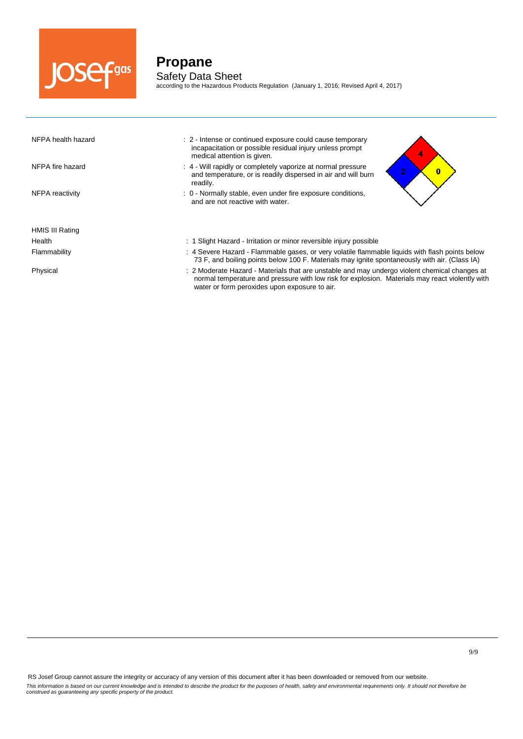

according to the Hazardous Products Regulation (January 1, 2016; Revised April 4, 2017)

| NFPA health hazard | : 2 - Intense or continued exposure could cause temporary<br>incapacitation or possible residual injury unless prompt<br>medical attention is given.                                                                                              |
|--------------------|---------------------------------------------------------------------------------------------------------------------------------------------------------------------------------------------------------------------------------------------------|
| NFPA fire hazard   | : 4 - Will rapidly or completely vaporize at normal pressure<br>$\bullet$<br>$\bf{0}$<br>and temperature, or is readily dispersed in air and will burn<br>readily.                                                                                |
| NFPA reactivity    | : 0 - Normally stable, even under fire exposure conditions,<br>and are not reactive with water.                                                                                                                                                   |
| HMIS III Rating    |                                                                                                                                                                                                                                                   |
| Health             | : 1 Slight Hazard - Irritation or minor reversible injury possible                                                                                                                                                                                |
| Flammability       | : 4 Severe Hazard - Flammable gases, or very volatile flammable liquids with flash points below<br>73 F, and boiling points below 100 F. Materials may ignite spontaneously with air. (Class IA)                                                  |
| Physical           | : 2 Moderate Hazard - Materials that are unstable and may undergo violent chemical changes at<br>normal temperature and pressure with low risk for explosion. Materials may react violently with<br>water or form peroxides upon exposure to air. |

RS Josef Group cannot assure the integrity or accuracy of any version of this document after it has been downloaded or removed from our website. This information is based on our current knowledge and is intended to describe the product for the purposes of health, safety and environmental requirements only. It should not therefore be<br>construed as guaranteeing any sp